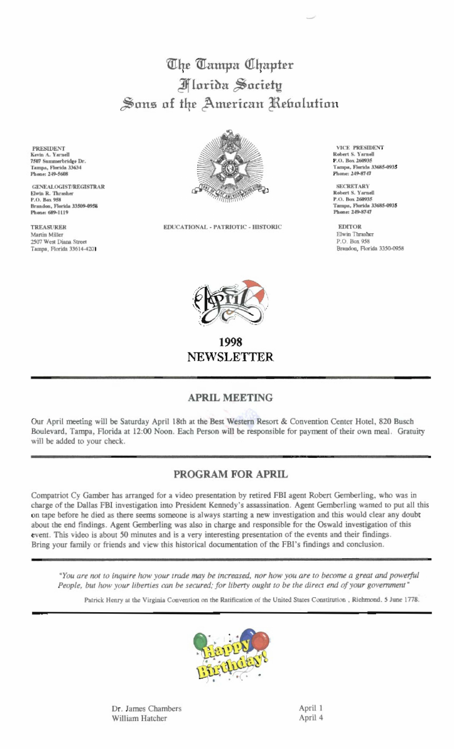## The Tampa Uhapter **Marida Saciety** Sons of the American Rebolution

**PRESIDENT** Kevin A. Yarnell 7507 Summerbridge Dr. Tampa, Florida 33634 Phone: 249-5608

**GENEALOGIST/REGISTRAR** Elwin R. Thrasher P.O. Box 958 Brandon, Florida 33509-0958 Phone: 689-1119

**TREASURER** Martin Miller 2507 West Diana Street Tampa, Florida 33614-4201



EDUCATIONAL - PATRIOTIC - HISTORIC

VICE PRESIDENT Robert S. Yarnell P.O. Box 260935 Tampa, Florida 33685-0935 Phone: 249-8747

**SECRETARY** Robert S. Yarnell P.O. Box 260935 Tamps, Florida 33685-0935 Phone: 249-8747

**EDITOR** Elwin Thrasher P.O. Box 958 Brandon, Florida 3350-0958



1998 **NEWSLETTER** 

## **APRIL MEETING**

Our April meeting will be Saturday April 18th at the Best Western Resort & Convention Center Hotel, 820 Busch Boulevard, Tampa, Florida at 12:00 Noon. Each Person will be responsible for payment of their own meal. Gratuity will be added to your check.

## PROGRAM FOR APRIL

Compatriot Cy Gamber has arranged for a video presentation by retired FBI agent Robert Gemberling, who was in charge of the Dallas FBI investigation into President Kennedy's assassination. Agent Gemberling wanted to put all this on tape before he died as there seems someone is always starting a new investigation and this would clear any doubt about the end findings. Agent Gemberling was also in charge and responsible for the Oswald investigation of this event. This video is about 50 minutes and is a very interesting presentation of the events and their findings. Bring your family or friends and view this historical documentation of the FBI's findings and conclusion.

"You are not to inquire how your trade may be increased, nor how you are to become a great and powerful People, but how your liberties can be secured; for liberty ought to be the direct end of your government"

Patrick Henry at the Virginia Convention on the Ratification of the United States Constitution, Richmond, 5 June 1778.



Dr. James Chambers William Hatcher

April 1 April 4